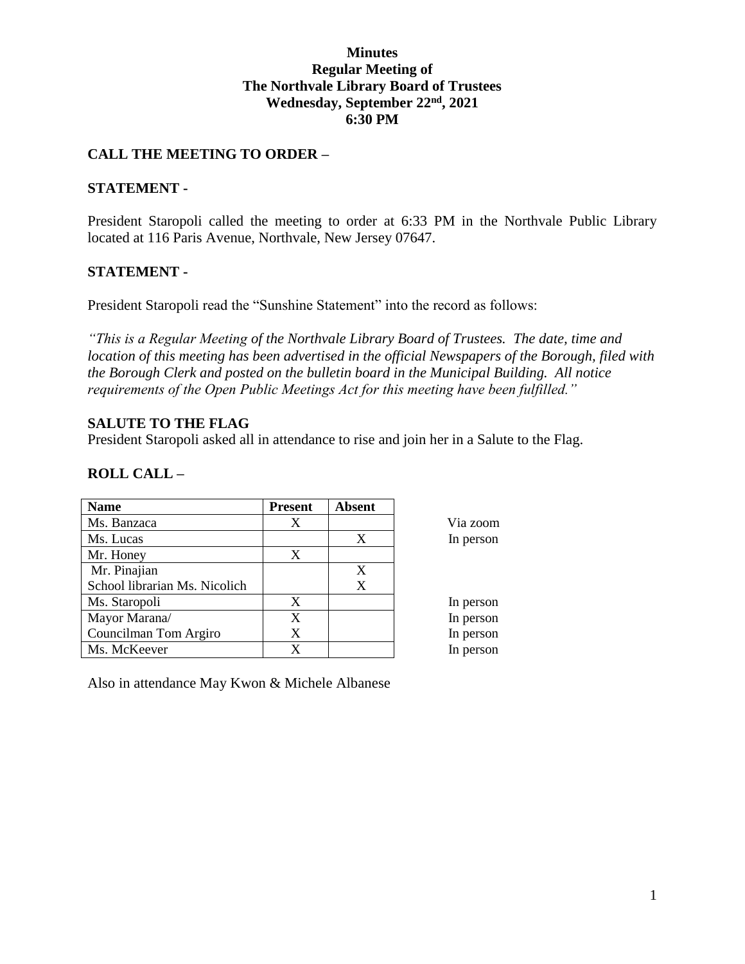## **Minutes Regular Meeting of The Northvale Library Board of Trustees Wednesday, September 22nd, 2021 6:30 PM**

## **CALL THE MEETING TO ORDER –**

## **STATEMENT -**

President Staropoli called the meeting to order at 6:33 PM in the Northvale Public Library located at 116 Paris Avenue, Northvale, New Jersey 07647.

## **STATEMENT -**

President Staropoli read the "Sunshine Statement" into the record as follows:

*"This is a Regular Meeting of the Northvale Library Board of Trustees. The date, time and location of this meeting has been advertised in the official Newspapers of the Borough, filed with the Borough Clerk and posted on the bulletin board in the Municipal Building. All notice requirements of the Open Public Meetings Act for this meeting have been fulfilled."* 

## **SALUTE TO THE FLAG**

President Staropoli asked all in attendance to rise and join her in a Salute to the Flag.

## **ROLL CALL –**

| <b>Name</b>                   | <b>Present</b> | <b>Absent</b> |           |
|-------------------------------|----------------|---------------|-----------|
| Ms. Banzaca                   | X              |               | Via zoom  |
| Ms. Lucas                     |                | X             | In person |
| Mr. Honey                     | X              |               |           |
| Mr. Pinajian                  |                | X             |           |
| School librarian Ms. Nicolich |                | X             |           |
| Ms. Staropoli                 | X              |               | In person |
| Mayor Marana/                 | X              |               | In person |
| Councilman Tom Argiro         | X              |               | In person |
| Ms. McKeever                  | X              |               | In person |

Also in attendance May Kwon & Michele Albanese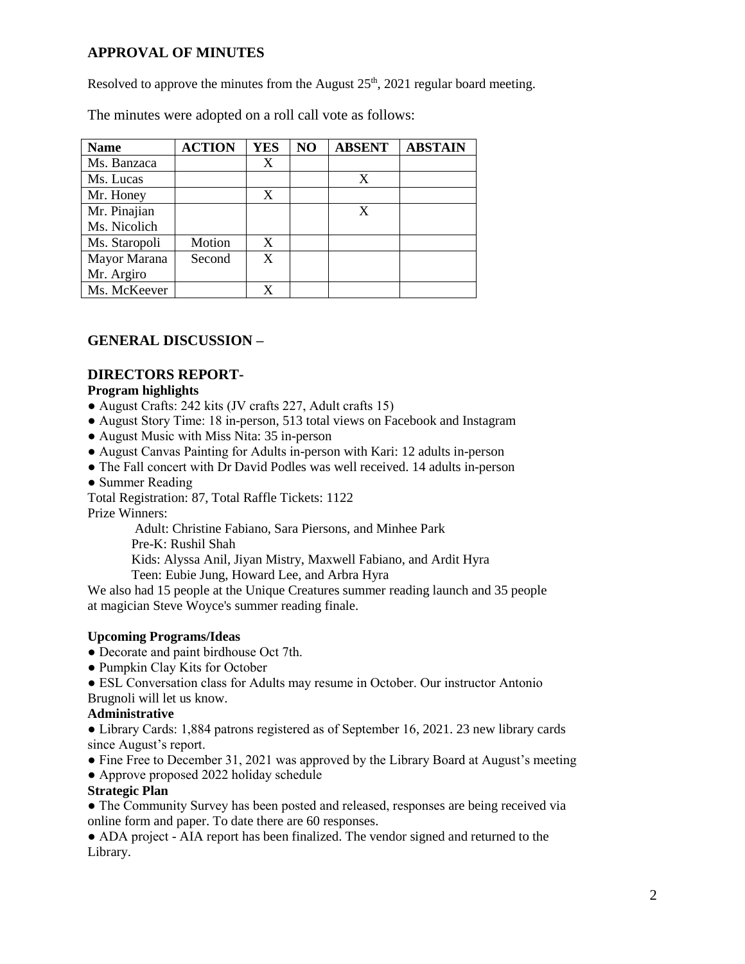# **APPROVAL OF MINUTES**

Resolved to approve the minutes from the August  $25<sup>th</sup>$ ,  $2021$  regular board meeting.

The minutes were adopted on a roll call vote as follows:

| <b>Name</b>   | <b>ACTION</b> | <b>YES</b> | NO | <b>ABSENT</b> | <b>ABSTAIN</b> |
|---------------|---------------|------------|----|---------------|----------------|
| Ms. Banzaca   |               | X          |    |               |                |
| Ms. Lucas     |               |            |    | X             |                |
| Mr. Honey     |               | X          |    |               |                |
| Mr. Pinajian  |               |            |    | X             |                |
| Ms. Nicolich  |               |            |    |               |                |
| Ms. Staropoli | Motion        | X          |    |               |                |
| Mayor Marana  | Second        | X          |    |               |                |
| Mr. Argiro    |               |            |    |               |                |
| Ms. McKeever  |               |            |    |               |                |

# **GENERAL DISCUSSION –**

## **DIRECTORS REPORT-**

#### **Program highlights**

- August Crafts: 242 kits (JV crafts 227, Adult crafts 15)
- August Story Time: 18 in-person, 513 total views on Facebook and Instagram
- August Music with Miss Nita: 35 in-person
- August Canvas Painting for Adults in-person with Kari: 12 adults in-person
- The Fall concert with Dr David Podles was well received. 14 adults in-person
- Summer Reading

Total Registration: 87, Total Raffle Tickets: 1122

Prize Winners:

Adult: Christine Fabiano, Sara Piersons, and Minhee Park

Pre-K: Rushil Shah

Kids: Alyssa Anil, Jiyan Mistry, Maxwell Fabiano, and Ardit Hyra

Teen: Eubie Jung, Howard Lee, and Arbra Hyra

We also had 15 people at the Unique Creatures summer reading launch and 35 people at magician Steve Woyce's summer reading finale.

#### **Upcoming Programs/Ideas**

- Decorate and paint birdhouse Oct 7th.
- Pumpkin Clay Kits for October

● ESL Conversation class for Adults may resume in October. Our instructor Antonio Brugnoli will let us know.

# **Administrative**

● Library Cards: 1,884 patrons registered as of September 16, 2021. 23 new library cards since August's report.

- Fine Free to December 31, 2021 was approved by the Library Board at August's meeting
- Approve proposed 2022 holiday schedule

#### **Strategic Plan**

● The Community Survey has been posted and released, responses are being received via online form and paper. To date there are 60 responses.

• ADA project - AIA report has been finalized. The vendor signed and returned to the Library.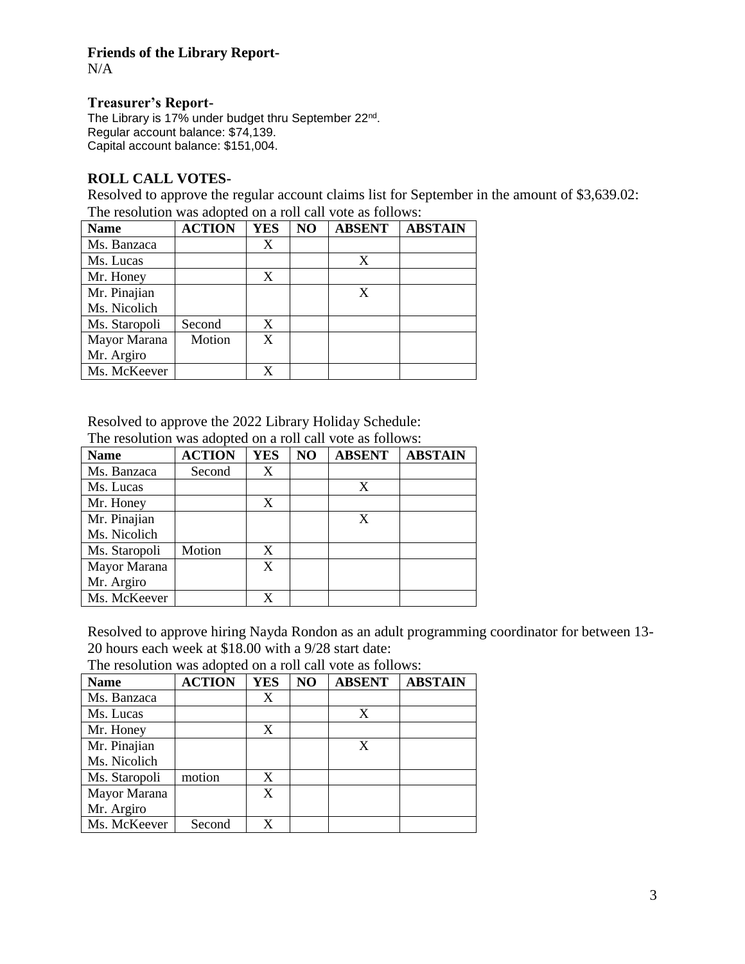# **Friends of the Library Report-**

N/A

#### **Treasurer's Report-**

The Library is 17% under budget thru September 22<sup>nd</sup>. Regular account balance: \$74,139. Capital account balance: \$151,004.

## **ROLL CALL VOTES-**

Resolved to approve the regular account claims list for September in the amount of \$3,639.02: The resolution was adopted on a roll call vote as follows:

| <b>Name</b>   | <b>ACTION</b> | <b>YES</b> | NO | <b>ABSENT</b> | <b>ABSTAIN</b> |
|---------------|---------------|------------|----|---------------|----------------|
| Ms. Banzaca   |               | X          |    |               |                |
| Ms. Lucas     |               |            |    | X             |                |
| Mr. Honey     |               | X          |    |               |                |
| Mr. Pinajian  |               |            |    |               |                |
| Ms. Nicolich  |               |            |    |               |                |
| Ms. Staropoli | Second        | X          |    |               |                |
| Mayor Marana  | Motion        | X          |    |               |                |
| Mr. Argiro    |               |            |    |               |                |
| Ms. McKeever  |               |            |    |               |                |

Resolved to approve the 2022 Library Holiday Schedule: The resolution was adopted on a roll call vote as follows:

| <b>Name</b>   | <b>ACTION</b> | <b>YES</b> | N <sub>O</sub> | <b>ABSENT</b> | <b>ABSTAIN</b> |
|---------------|---------------|------------|----------------|---------------|----------------|
| Ms. Banzaca   | Second        | X          |                |               |                |
| Ms. Lucas     |               |            |                | X             |                |
| Mr. Honey     |               | X          |                |               |                |
| Mr. Pinajian  |               |            |                | X             |                |
| Ms. Nicolich  |               |            |                |               |                |
| Ms. Staropoli | Motion        | X          |                |               |                |
| Mayor Marana  |               | X          |                |               |                |
| Mr. Argiro    |               |            |                |               |                |
| Ms. McKeever  |               |            |                |               |                |

Resolved to approve hiring Nayda Rondon as an adult programming coordinator for between 13- 20 hours each week at \$18.00 with a 9/28 start date:

The resolution was adopted on a roll call vote as follows:

| <b>Name</b>   | <b>ACTION</b> | <b>YES</b> | NO | <b>ABSENT</b> | <b>ABSTAIN</b> |
|---------------|---------------|------------|----|---------------|----------------|
| Ms. Banzaca   |               | X          |    |               |                |
| Ms. Lucas     |               |            |    | X             |                |
| Mr. Honey     |               | X          |    |               |                |
| Mr. Pinajian  |               |            |    | X             |                |
| Ms. Nicolich  |               |            |    |               |                |
| Ms. Staropoli | motion        | X          |    |               |                |
| Mayor Marana  |               | X          |    |               |                |
| Mr. Argiro    |               |            |    |               |                |
| Ms. McKeever  | Second        |            |    |               |                |